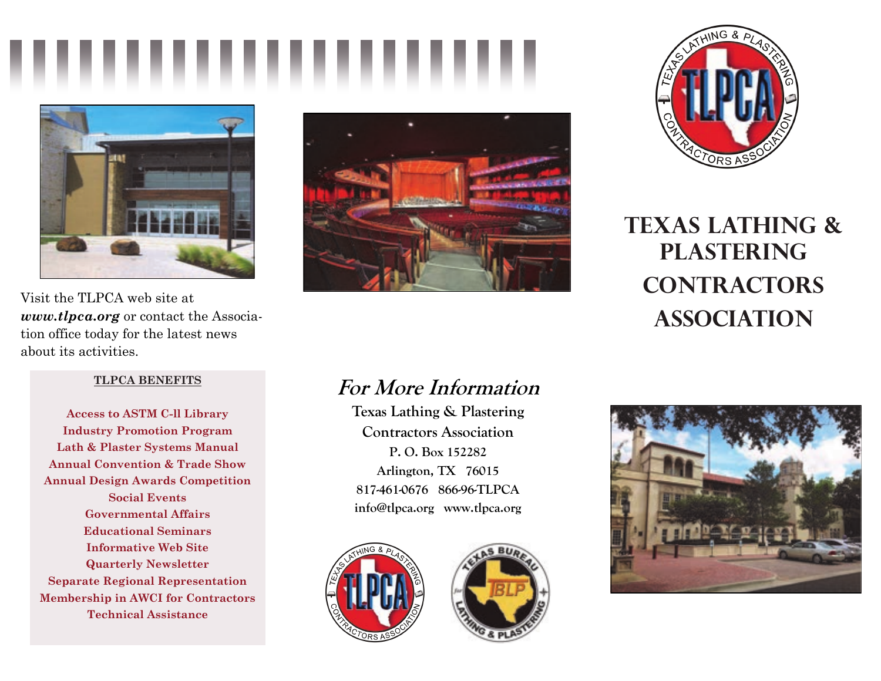



Visit the TLPCA web site at *www.tlpca.org* or contact the Association office today for the latest news about its activities.

### **TLPCA BENEFITS**

**Access to ASTM C-ll Library Industry Promotion Program Lath & Plaster Systems Manual Annual Convention & Trade Show Annual Design Awards Competition Social Events Governmental Affairs Educational Seminars Informative Web Site Quarterly Newsletter Separate Regional Representation Membership in AWCI for Contractors Technical Assistance** 





**Texas lathing & plastering contractors ASSOCIATION** 

# **For More Information**

**Texas Lathing & Plastering Contractors Association P. O. Box 152282 Arlington, TX 76015 817-461-0676 866-96-TLPCA info@tlpca.org www.tlpca.org**